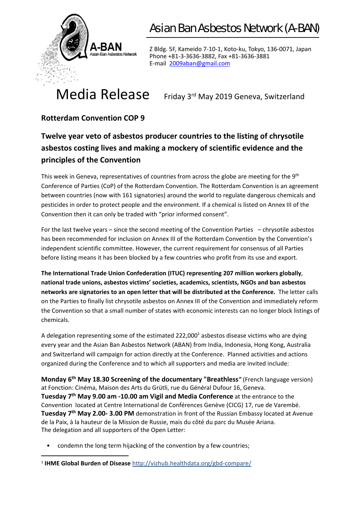

Z Bldg. 5F, Kameido 7‐10‐1, Koto‐ku, Tokyo, 136‐0071, Japan Phone +81‐3‐3636‐3882, Fax +81‐3636‐3881 E‐mail 2009aban@gmail.com

# Media Release Friday 3rd May 2019 Geneva, Switzerland

#### **Rotterdam Convention COP 9**

#### **Twelve year veto of asbestos producer countries to the listing of chrysotile asbestos costing lives and making a mockery of scientific evidence and the principles of the Convention**

This week in Geneva, representatives of countries from across the globe are meeting for the  $9<sup>th</sup>$ Conference of Parties (CoP) of the Rotterdam Convention. The Rotterdam Convention is an agreement between countries (now with 161 signatories) around the world to regulate dangerous chemicals and pesticides in order to protect people and the environment. If a chemical is listed on Annex III of the Convention then it can only be traded with "prior informed consent".

For the last twelve years – since the second meeting of the Convention Parties – chrysotile asbestos has been recommended for inclusion on Annex III of the Rotterdam Convention by the Convention's independent scientific committee. However, the current requirement for consensus of all Parties before listing means it has been blocked by a few countries who profit from its use and export.

**The International Trade Union Confederation (ITUC) representing 207 million workers globally**, **national trade unions, asbestos victims' societies, academics, scientists, NGOs and ban asbestos networks are signatories to an open letter that will be distributed at the Conference.** The letter calls on the Parties to finally list chrysotile asbestos on Annex III of the Convention and immediately reform the Convention so that a small number of states with economic interests can no longer block listings of chemicals.

A delegation representing some of the estimated 222,000<sup>1</sup> asbestos disease victims who are dying every year and the Asian Ban Asbestos Network (ABAN) from India, Indonesia, Hong Kong, Australia and Switzerland will campaign for action directly at the Conference. Planned activities and actions organized during the Conference and to which all supporters and media are invited include:

**Monday 6th May 18.30 Screening of the documentary "Breathless***"* (French language version) at Fonction: Cinéma, Maison des Arts du Grütli, rue du Général Dufour 16, Geneva. **Tuesday 7th May 9.00 am ‐10.00 am Vigil and Media Conference** at the entrance to the Convention located at Centre International de Conférences Genève (CICG) 17, rue de Varembé. **Tuesday 7th May 2.00‐ 3.00 PM** demonstration in front of the Russian Embassy located at Avenue de la Paix, à la hauteur de la Mission de Russie, mais du côté du parc du Musée Ariana. The delegation and all supporters of the Open Letter:

• condemn the long term hijacking of the convention by a few countries;

<sup>1</sup> **IHME Global Burden of Disease** http://vizhub.healthdata.org/gbd‐compare/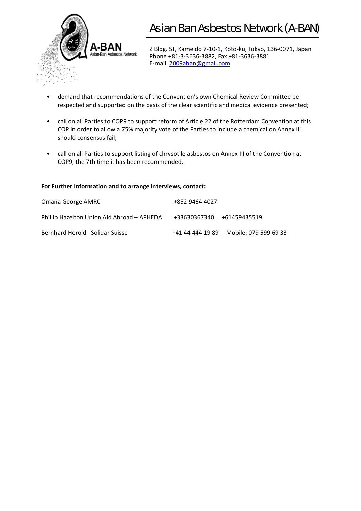

Z Bldg. 5F, Kameido 7‐10‐1, Koto‐ku, Tokyo, 136‐0071, Japan Phone +81‐3‐3636‐3882, Fax +81‐3636‐3881 E‐mail 2009aban@gmail.com

- demand that recommendations of the Convention's own Chemical Review Committee be respected and supported on the basis of the clear scientific and medical evidence presented;
- call on all Parties to COP9 to support reform of Article 22 of the Rotterdam Convention at this COP in order to allow a 75% majority vote of the Parties to include a chemical on Annex III should consensus fail;
- call on all Parties to support listing of chrysotile asbestos on Annex III of the Convention at COP9, the 7th time it has been recommended.

#### **For Further Information and to arrange interviews, contact:**

| Omana George AMRC                          | +852 9464 4027                         |
|--------------------------------------------|----------------------------------------|
| Phillip Hazelton Union Aid Abroad – APHEDA | +33630367340 +61459435519              |
| Bernhard Herold Solidar Suisse             | +41 44 444 19 89 Mobile: 079 599 69 33 |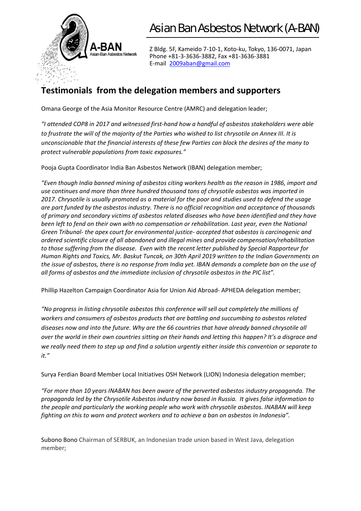

Z Bldg. 5F, Kameido 7‐10‐1, Koto‐ku, Tokyo, 136‐0071, Japan Phone +81‐3‐3636‐3882, Fax +81‐3636‐3881 E‐mail 2009aban@gmail.com

#### **Testimonials from the delegation members and supporters**

Omana George of the Asia Monitor Resource Centre (AMRC) and delegation leader;

*"I attended COP8 in 2017 and witnessed first‐hand how a handful of asbestos stakeholders were able to frustrate the will of the majority of the Parties who wished to list chrysotile on Annex III. It is unconscionable that the financial interests of these few Parties can block the desires of the many to protect vulnerable populations from toxic exposures."* 

Pooja Gupta Coordinator India Ban Asbestos Network (IBAN) delegation member;

*"Even though India banned mining of asbestos citing workers health as the reason in 1986, import and use continues and more than three hundred thousand tons of chrysotile asbestos was imported in 2017. Chrysotile is usually promoted as a material for the poor and studies used to defend the usage are part funded by the asbestos industry. There is no official recognition and acceptance of thousands of primary and secondary victims of asbestos related diseases who have been identified and they have been left to fend on their own with no compensation or rehabilitation. Last year, even the National Green Tribunal‐ the apex court for environmental justice‐ accepted that asbestos is carcinogenic and ordered scientific closure of all abandoned and illegal mines and provide compensation/rehabilitation to those suffering from the disease. Even with the recent letter published by Special Rapporteur for Human Rights and Toxics, Mr. Baskut Tuncak, on 30th April 2019 written to the Indian Governments on the issue of asbestos, there is no response from India yet. IBAN demands a complete ban on the use of all forms of asbestos and the immediate inclusion of chrysotile asbestos in the PIC list".* 

Phillip Hazelton Campaign Coordinator Asia for Union Aid Abroad‐ APHEDA delegation member;

*"No progress in listing chrysotile asbestos this conference will sell out completely the millions of workers and consumers of asbestos products that are battling and succumbing to asbestos related diseases now and into the future. Why are the 66 countries that have already banned chrysotile all over the world in their own countries sitting on their hands and letting this happen? It's a disgrace and we really need them to step up and find a solution urgently either inside this convention or separate to it."* 

Surya Ferdian Board Member Local Initiatives OSH Network (LION) Indonesia delegation member;

*"For more than 10 years INABAN has been aware of the perverted asbestos industry propaganda. The propaganda led by the Chrysotile Asbestos industry now based in Russia. It gives false information to the people and particularly the working people who work with chrysotile asbestos. INABAN will keep fighting on this to warn and protect workers and to achieve a ban on asbestos in Indonesia".* 

Subono Bono Chairman of SERBUK, an Indonesian trade union based in West Java, delegation member;